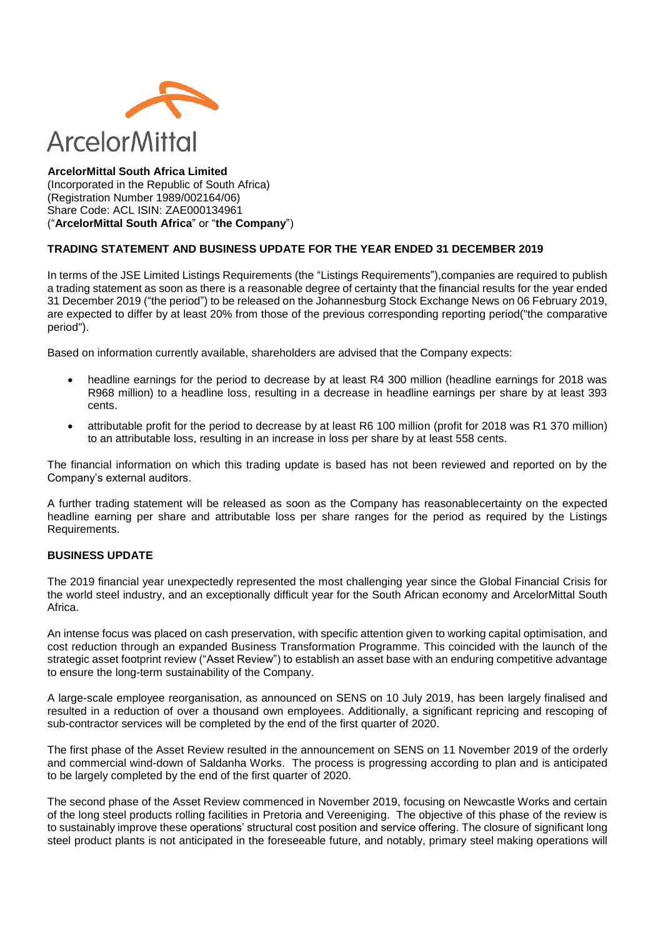

#### **ArcelorMittal South Africa Limited** (Incorporated in the Republic of South Africa) (Registration Number 1989/002164/06) Share Code: ACL ISIN: ZAE000134961 ("**ArcelorMittal South Africa**" or "**the Company**")

# **TRADING STATEMENT AND BUSINESS UPDATE FOR THE YEAR ENDED 31 DECEMBER 2019**

In terms of the JSE Limited Listings Requirements (the "Listings Requirements"),companies are required to publish a trading statement as soon as there is a reasonable degree of certainty that the financial results for the year ended 31 December 2019 ("the period") to be released on the Johannesburg Stock Exchange News on 06 February 2019, are expected to differ by at least 20% from those of the previous corresponding reporting period("the comparative period").

Based on information currently available, shareholders are advised that the Company expects:

- headline earnings for the period to decrease by at least R4 300 million (headline earnings for 2018 was R968 million) to a headline loss, resulting in a decrease in headline earnings per share by at least 393 cents.
- attributable profit for the period to decrease by at least R6 100 million (profit for 2018 was R1 370 million) to an attributable loss, resulting in an increase in loss per share by at least 558 cents.

The financial information on which this trading update is based has not been reviewed and reported on by the Company's external auditors.

A further trading statement will be released as soon as the Company has reasonablecertainty on the expected headline earning per share and attributable loss per share ranges for the period as required by the Listings Requirements.

## **BUSINESS UPDATE**

The 2019 financial year unexpectedly represented the most challenging year since the Global Financial Crisis for the world steel industry, and an exceptionally difficult year for the South African economy and ArcelorMittal South Africa.

An intense focus was placed on cash preservation, with specific attention given to working capital optimisation, and cost reduction through an expanded Business Transformation Programme. This coincided with the launch of the strategic asset footprint review ("Asset Review") to establish an asset base with an enduring competitive advantage to ensure the long-term sustainability of the Company.

A large-scale employee reorganisation, as announced on SENS on 10 July 2019, has been largely finalised and resulted in a reduction of over a thousand own employees. Additionally, a significant repricing and rescoping of sub-contractor services will be completed by the end of the first quarter of 2020.

The first phase of the Asset Review resulted in the announcement on SENS on 11 November 2019 of the orderly and commercial wind-down of Saldanha Works. The process is progressing according to plan and is anticipated to be largely completed by the end of the first quarter of 2020.

The second phase of the Asset Review commenced in November 2019, focusing on Newcastle Works and certain of the long steel products rolling facilities in Pretoria and Vereeniging. The objective of this phase of the review is to sustainably improve these operations' structural cost position and service offering. The closure of significant long steel product plants is not anticipated in the foreseeable future, and notably, primary steel making operations will